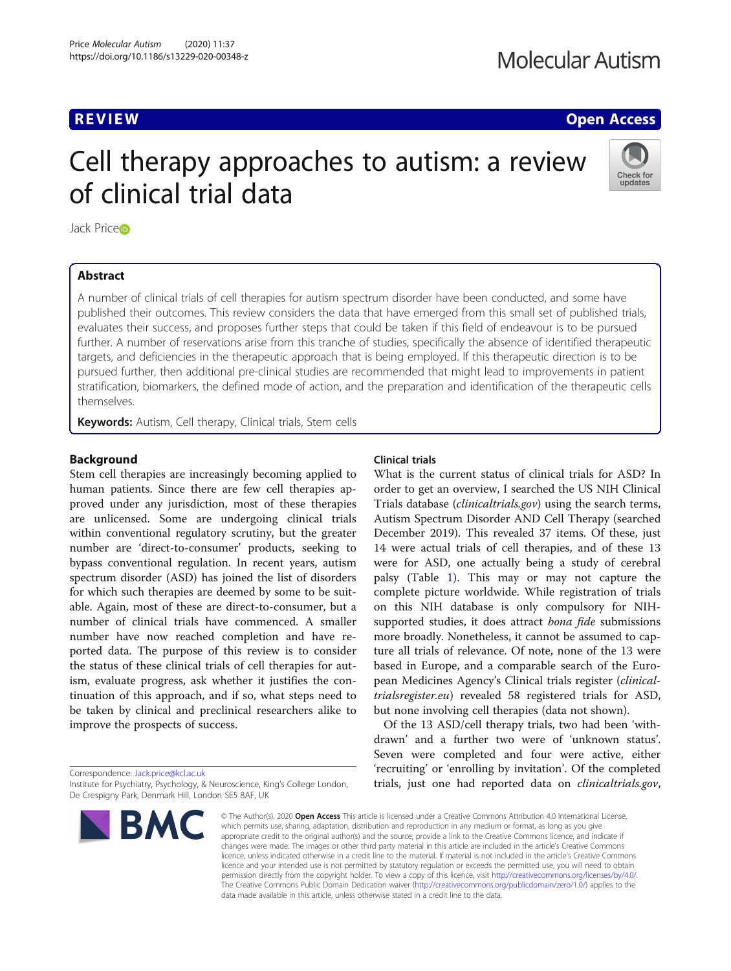**REVIEW ACCESS REVIEW CONSUMING THE CONSUMING TO A REVIEW AND LOCAL CONSUMING TO A REVIEW OPEN ACCESS** 

# Cell therapy approaches to autism: a review of clinical trial data



Jack Pric[e](http://orcid.org/0000-0003-2235-9180)®

# Abstract

A number of clinical trials of cell therapies for autism spectrum disorder have been conducted, and some have published their outcomes. This review considers the data that have emerged from this small set of published trials, evaluates their success, and proposes further steps that could be taken if this field of endeavour is to be pursued further. A number of reservations arise from this tranche of studies, specifically the absence of identified therapeutic targets, and deficiencies in the therapeutic approach that is being employed. If this therapeutic direction is to be pursued further, then additional pre-clinical studies are recommended that might lead to improvements in patient stratification, biomarkers, the defined mode of action, and the preparation and identification of the therapeutic cells themselves.

Keywords: Autism, Cell therapy, Clinical trials, Stem cells

# Background

Stem cell therapies are increasingly becoming applied to human patients. Since there are few cell therapies approved under any jurisdiction, most of these therapies are unlicensed. Some are undergoing clinical trials within conventional regulatory scrutiny, but the greater number are 'direct-to-consumer' products, seeking to bypass conventional regulation. In recent years, autism spectrum disorder (ASD) has joined the list of disorders for which such therapies are deemed by some to be suitable. Again, most of these are direct-to-consumer, but a number of clinical trials have commenced. A smaller number have now reached completion and have reported data. The purpose of this review is to consider the status of these clinical trials of cell therapies for autism, evaluate progress, ask whether it justifies the continuation of this approach, and if so, what steps need to be taken by clinical and preclinical researchers alike to improve the prospects of success.

Correspondence: [Jack.price@kcl.ac.uk](mailto:Jack.price@kcl.ac.uk) Institute for Psychiatry, Psychology, & Neuroscience, King's College London, De Crespigny Park, Denmark Hill, London SE5 8AF, UK



# Clinical trials

What is the current status of clinical trials for ASD? In order to get an overview, I searched the US NIH Clinical Trials database *(clinicaltrials.gov)* using the search terms, Autism Spectrum Disorder AND Cell Therapy (searched December 2019). This revealed 37 items. Of these, just 14 were actual trials of cell therapies, and of these 13 were for ASD, one actually being a study of cerebral palsy (Table [1](#page-1-0)). This may or may not capture the complete picture worldwide. While registration of trials on this NIH database is only compulsory for NIHsupported studies, it does attract bona fide submissions more broadly. Nonetheless, it cannot be assumed to capture all trials of relevance. Of note, none of the 13 were based in Europe, and a comparable search of the European Medicines Agency's Clinical trials register (clinicaltrialsregister.eu) revealed 58 registered trials for ASD, but none involving cell therapies (data not shown).

Of the 13 ASD/cell therapy trials, two had been 'withdrawn' and a further two were of 'unknown status'. Seven were completed and four were active, either 'recruiting' or 'enrolling by invitation'. Of the completed trials, just one had reported data on clinicaltrials.gov,

© The Author(s), 2020 **Open Access** This article is licensed under a Creative Commons Attribution 4.0 International License, which permits use, sharing, adaptation, distribution and reproduction in any medium or format, as long as you give appropriate credit to the original author(s) and the source, provide a link to the Creative Commons licence, and indicate if changes were made. The images or other third party material in this article are included in the article's Creative Commons licence, unless indicated otherwise in a credit line to the material. If material is not included in the article's Creative Commons licence and your intended use is not permitted by statutory regulation or exceeds the permitted use, you will need to obtain permission directly from the copyright holder. To view a copy of this licence, visit [http://creativecommons.org/licenses/by/4.0/.](http://creativecommons.org/licenses/by/4.0/) The Creative Commons Public Domain Dedication waiver [\(http://creativecommons.org/publicdomain/zero/1.0/](http://creativecommons.org/publicdomain/zero/1.0/)) applies to the data made available in this article, unless otherwise stated in a credit line to the data.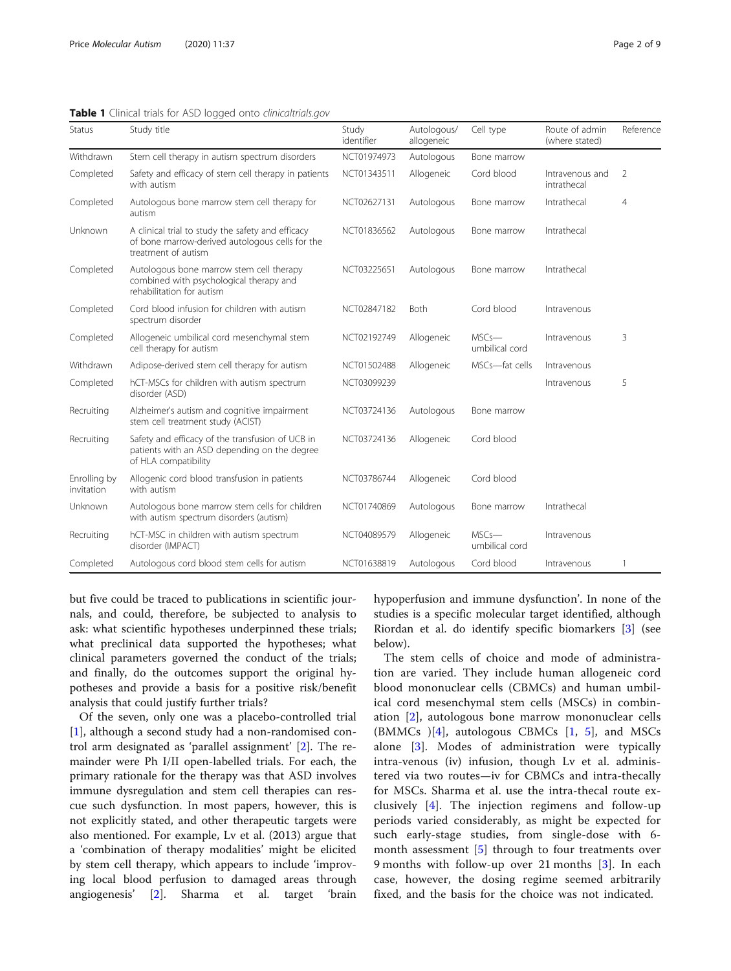<span id="page-1-0"></span>

|               |  |  | Table 1 Clinical trials for ASD logged onto clinicaltrials.gov |
|---------------|--|--|----------------------------------------------------------------|
| $\sim$ $\sim$ |  |  |                                                                |

| Status                     | Study title                                                                                                                 | Study<br>identifier | Autologous/<br>allogeneic | Cell type                  | Route of admin<br>(where stated) | Reference      |
|----------------------------|-----------------------------------------------------------------------------------------------------------------------------|---------------------|---------------------------|----------------------------|----------------------------------|----------------|
| Withdrawn                  | Stem cell therapy in autism spectrum disorders                                                                              | NCT01974973         | Autologous                | Bone marrow                |                                  |                |
| Completed                  | Safety and efficacy of stem cell therapy in patients<br>with autism                                                         | NCT01343511         | Allogeneic                | Cord blood                 | Intravenous and<br>intrathecal   | $\overline{2}$ |
| Completed                  | Autologous bone marrow stem cell therapy for<br>autism                                                                      | NCT02627131         | Autologous                | Bone marrow                | Intrathecal                      | $\overline{4}$ |
| Unknown                    | A clinical trial to study the safety and efficacy<br>of bone marrow-derived autologous cells for the<br>treatment of autism | NCT01836562         | Autologous                | Bone marrow                | Intrathecal                      |                |
| Completed                  | Autologous bone marrow stem cell therapy<br>combined with psychological therapy and<br>rehabilitation for autism            | NCT03225651         | Autologous                | Bone marrow                | Intrathecal                      |                |
| Completed                  | Cord blood infusion for children with autism<br>spectrum disorder                                                           | NCT02847182         | <b>Both</b>               | Cord blood                 | Intravenous                      |                |
| Completed                  | Allogeneic umbilical cord mesenchymal stem<br>cell therapy for autism                                                       | NCT02192749         | Allogeneic                | MSCs-<br>umbilical cord    | Intravenous                      | 3              |
| Withdrawn                  | Adipose-derived stem cell therapy for autism                                                                                | NCT01502488         | Allogeneic                | MSCs-fat cells             | Intravenous                      |                |
| Completed                  | hCT-MSCs for children with autism spectrum<br>disorder (ASD)                                                                | NCT03099239         |                           |                            | Intravenous                      | 5              |
| Recruiting                 | Alzheimer's autism and cognitive impairment<br>stem cell treatment study (ACIST)                                            | NCT03724136         | Autologous                | Bone marrow                |                                  |                |
| Recruiting                 | Safety and efficacy of the transfusion of UCB in<br>patients with an ASD depending on the degree<br>of HLA compatibility    | NCT03724136         | Allogeneic                | Cord blood                 |                                  |                |
| Enrolling by<br>invitation | Allogenic cord blood transfusion in patients<br>with autism                                                                 | NCT03786744         | Allogeneic                | Cord blood                 |                                  |                |
| Unknown                    | Autologous bone marrow stem cells for children<br>with autism spectrum disorders (autism)                                   | NCT01740869         | Autologous                | Bone marrow                | Intrathecal                      |                |
| Recruiting                 | hCT-MSC in children with autism spectrum<br>disorder (IMPACT)                                                               | NCT04089579         | Allogeneic                | $MSCs$ —<br>umbilical cord | Intravenous                      |                |
| Completed                  | Autologous cord blood stem cells for autism                                                                                 | NCT01638819         | Autologous                | Cord blood                 | Intravenous                      | $\mathbf{1}$   |

but five could be traced to publications in scientific journals, and could, therefore, be subjected to analysis to ask: what scientific hypotheses underpinned these trials; what preclinical data supported the hypotheses; what clinical parameters governed the conduct of the trials; and finally, do the outcomes support the original hypotheses and provide a basis for a positive risk/benefit analysis that could justify further trials?

Of the seven, only one was a placebo-controlled trial [[1\]](#page-7-0), although a second study had a non-randomised control arm designated as 'parallel assignment' [[2\]](#page-7-0). The remainder were Ph I/II open-labelled trials. For each, the primary rationale for the therapy was that ASD involves immune dysregulation and stem cell therapies can rescue such dysfunction. In most papers, however, this is not explicitly stated, and other therapeutic targets were also mentioned. For example, Lv et al. (2013) argue that a 'combination of therapy modalities' might be elicited by stem cell therapy, which appears to include 'improving local blood perfusion to damaged areas through angiogenesis' [\[2](#page-7-0)]. Sharma et al. target 'brain hypoperfusion and immune dysfunction'. In none of the studies is a specific molecular target identified, although Riordan et al. do identify specific biomarkers [[3\]](#page-7-0) (see below).

The stem cells of choice and mode of administration are varied. They include human allogeneic cord blood mononuclear cells (CBMCs) and human umbilical cord mesenchymal stem cells (MSCs) in combination [[2\]](#page-7-0), autologous bone marrow mononuclear cells (BMMCs )[[4](#page-7-0)], autologous CBMCs [[1,](#page-7-0) [5\]](#page-7-0), and MSCs alone [[3](#page-7-0)]. Modes of administration were typically intra-venous (iv) infusion, though Lv et al. administered via two routes—iv for CBMCs and intra-thecally for MSCs. Sharma et al. use the intra-thecal route exclusively [[4\]](#page-7-0). The injection regimens and follow-up periods varied considerably, as might be expected for such early-stage studies, from single-dose with 6 month assessment [\[5](#page-7-0)] through to four treatments over 9 months with follow-up over 21 months [[3\]](#page-7-0). In each case, however, the dosing regime seemed arbitrarily fixed, and the basis for the choice was not indicated.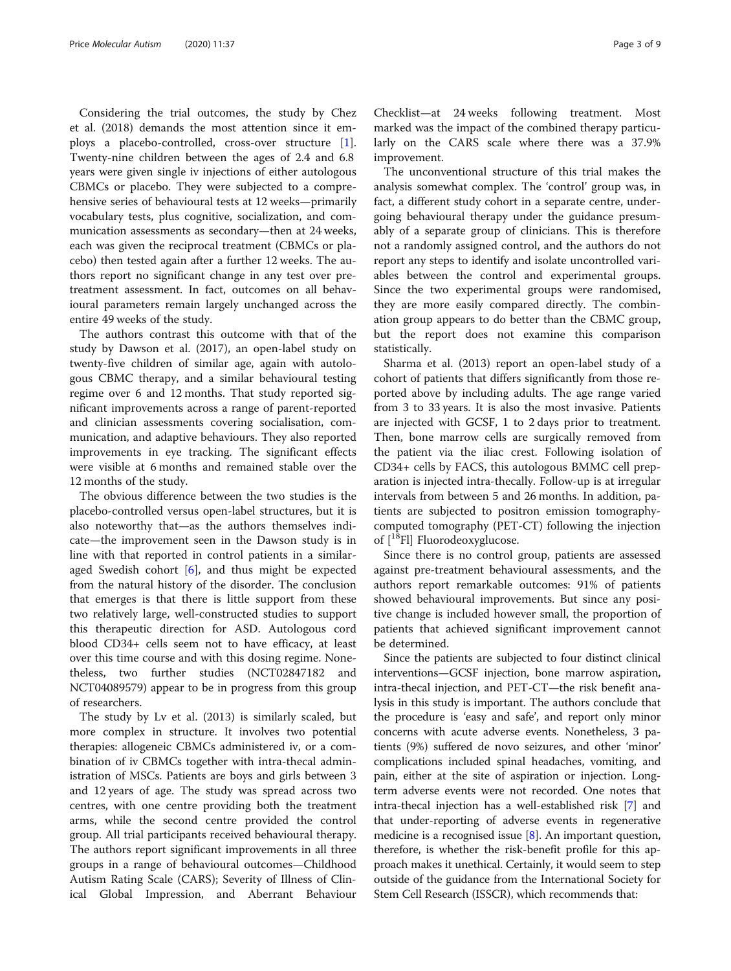Considering the trial outcomes, the study by Chez et al. (2018) demands the most attention since it employs a placebo-controlled, cross-over structure [\[1](#page-7-0)]. Twenty-nine children between the ages of 2.4 and 6.8 years were given single iv injections of either autologous CBMCs or placebo. They were subjected to a comprehensive series of behavioural tests at 12 weeks—primarily vocabulary tests, plus cognitive, socialization, and communication assessments as secondary—then at 24 weeks, each was given the reciprocal treatment (CBMCs or placebo) then tested again after a further 12 weeks. The authors report no significant change in any test over pretreatment assessment. In fact, outcomes on all behavioural parameters remain largely unchanged across the entire 49 weeks of the study.

The authors contrast this outcome with that of the study by Dawson et al. (2017), an open-label study on twenty-five children of similar age, again with autologous CBMC therapy, and a similar behavioural testing regime over 6 and 12 months. That study reported significant improvements across a range of parent-reported and clinician assessments covering socialisation, communication, and adaptive behaviours. They also reported improvements in eye tracking. The significant effects were visible at 6 months and remained stable over the 12 months of the study.

The obvious difference between the two studies is the placebo-controlled versus open-label structures, but it is also noteworthy that—as the authors themselves indicate—the improvement seen in the Dawson study is in line with that reported in control patients in a similaraged Swedish cohort  $[6]$  $[6]$ , and thus might be expected from the natural history of the disorder. The conclusion that emerges is that there is little support from these two relatively large, well-constructed studies to support this therapeutic direction for ASD. Autologous cord blood CD34+ cells seem not to have efficacy, at least over this time course and with this dosing regime. Nonetheless, two further studies (NCT02847182 and NCT04089579) appear to be in progress from this group of researchers.

The study by Lv et al. (2013) is similarly scaled, but more complex in structure. It involves two potential therapies: allogeneic CBMCs administered iv, or a combination of iv CBMCs together with intra-thecal administration of MSCs. Patients are boys and girls between 3 and 12 years of age. The study was spread across two centres, with one centre providing both the treatment arms, while the second centre provided the control group. All trial participants received behavioural therapy. The authors report significant improvements in all three groups in a range of behavioural outcomes—Childhood Autism Rating Scale (CARS); Severity of Illness of Clinical Global Impression, and Aberrant Behaviour

Checklist—at 24 weeks following treatment. Most marked was the impact of the combined therapy particularly on the CARS scale where there was a 37.9% improvement.

The unconventional structure of this trial makes the analysis somewhat complex. The 'control' group was, in fact, a different study cohort in a separate centre, undergoing behavioural therapy under the guidance presumably of a separate group of clinicians. This is therefore not a randomly assigned control, and the authors do not report any steps to identify and isolate uncontrolled variables between the control and experimental groups. Since the two experimental groups were randomised, they are more easily compared directly. The combination group appears to do better than the CBMC group, but the report does not examine this comparison statistically.

Sharma et al. (2013) report an open-label study of a cohort of patients that differs significantly from those reported above by including adults. The age range varied from 3 to 33 years. It is also the most invasive. Patients are injected with GCSF, 1 to 2 days prior to treatment. Then, bone marrow cells are surgically removed from the patient via the iliac crest. Following isolation of CD34+ cells by FACS, this autologous BMMC cell preparation is injected intra-thecally. Follow-up is at irregular intervals from between 5 and 26 months. In addition, patients are subjected to positron emission tomographycomputed tomography (PET-CT) following the injection of  $[$ <sup>18</sup>Fl] Fluorodeoxyglucose.

Since there is no control group, patients are assessed against pre-treatment behavioural assessments, and the authors report remarkable outcomes: 91% of patients showed behavioural improvements. But since any positive change is included however small, the proportion of patients that achieved significant improvement cannot be determined.

Since the patients are subjected to four distinct clinical interventions—GCSF injection, bone marrow aspiration, intra-thecal injection, and PET-CT—the risk benefit analysis in this study is important. The authors conclude that the procedure is 'easy and safe', and report only minor concerns with acute adverse events. Nonetheless, 3 patients (9%) suffered de novo seizures, and other 'minor' complications included spinal headaches, vomiting, and pain, either at the site of aspiration or injection. Longterm adverse events were not recorded. One notes that intra-thecal injection has a well-established risk [\[7](#page-7-0)] and that under-reporting of adverse events in regenerative medicine is a recognised issue [\[8](#page-7-0)]. An important question, therefore, is whether the risk-benefit profile for this approach makes it unethical. Certainly, it would seem to step outside of the guidance from the International Society for Stem Cell Research (ISSCR), which recommends that: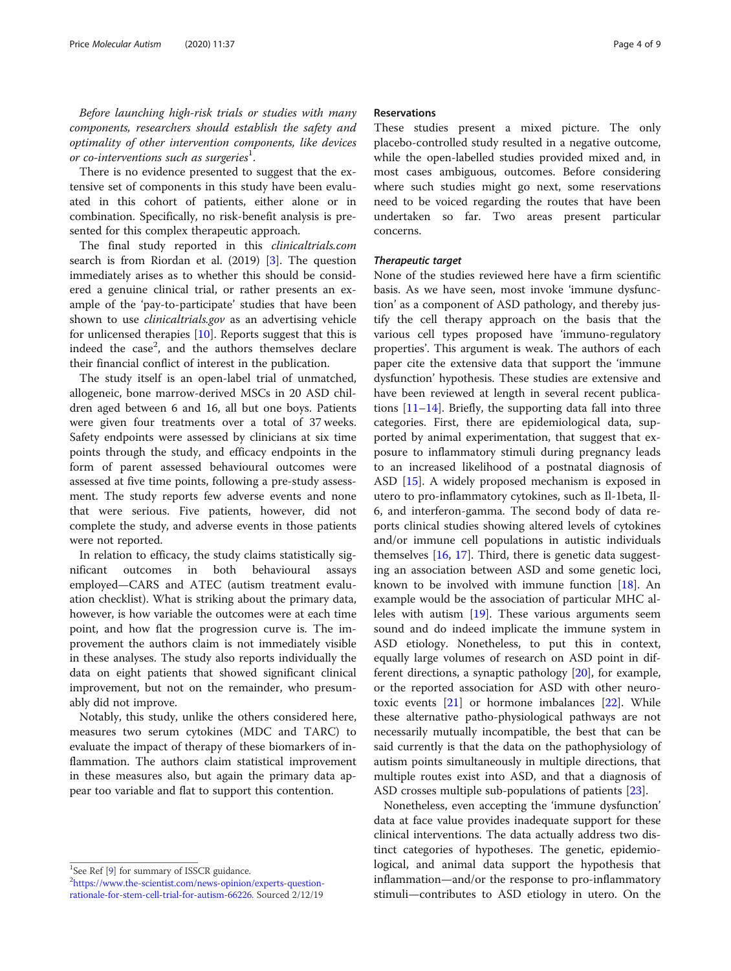Before launching high-risk trials or studies with many components, researchers should establish the safety and optimality of other intervention components, like devices or co-interventions such as surgeries $^{\rm l}$ .

There is no evidence presented to suggest that the extensive set of components in this study have been evaluated in this cohort of patients, either alone or in combination. Specifically, no risk-benefit analysis is presented for this complex therapeutic approach.

The final study reported in this clinicaltrials.com search is from Riordan et al. (2019) [[3\]](#page-7-0). The question immediately arises as to whether this should be considered a genuine clinical trial, or rather presents an example of the 'pay-to-participate' studies that have been shown to use *clinicaltrials.gov* as an advertising vehicle for unlicensed therapies [\[10](#page-7-0)]. Reports suggest that this is indeed the case<sup>2</sup>, and the authors themselves declare their financial conflict of interest in the publication.

The study itself is an open-label trial of unmatched, allogeneic, bone marrow-derived MSCs in 20 ASD children aged between 6 and 16, all but one boys. Patients were given four treatments over a total of 37 weeks. Safety endpoints were assessed by clinicians at six time points through the study, and efficacy endpoints in the form of parent assessed behavioural outcomes were assessed at five time points, following a pre-study assessment. The study reports few adverse events and none that were serious. Five patients, however, did not complete the study, and adverse events in those patients were not reported.

In relation to efficacy, the study claims statistically significant outcomes in both behavioural assays employed—CARS and ATEC (autism treatment evaluation checklist). What is striking about the primary data, however, is how variable the outcomes were at each time point, and how flat the progression curve is. The improvement the authors claim is not immediately visible in these analyses. The study also reports individually the data on eight patients that showed significant clinical improvement, but not on the remainder, who presumably did not improve.

Notably, this study, unlike the others considered here, measures two serum cytokines (MDC and TARC) to evaluate the impact of therapy of these biomarkers of inflammation. The authors claim statistical improvement in these measures also, but again the primary data appear too variable and flat to support this contention.

#### Reservations

These studies present a mixed picture. The only placebo-controlled study resulted in a negative outcome, while the open-labelled studies provided mixed and, in most cases ambiguous, outcomes. Before considering where such studies might go next, some reservations need to be voiced regarding the routes that have been undertaken so far. Two areas present particular concerns.

### Therapeutic target

None of the studies reviewed here have a firm scientific basis. As we have seen, most invoke 'immune dysfunction' as a component of ASD pathology, and thereby justify the cell therapy approach on the basis that the various cell types proposed have 'immuno-regulatory properties'. This argument is weak. The authors of each paper cite the extensive data that support the 'immune dysfunction' hypothesis. These studies are extensive and have been reviewed at length in several recent publications [\[11](#page-7-0)–[14\]](#page-7-0). Briefly, the supporting data fall into three categories. First, there are epidemiological data, supported by animal experimentation, that suggest that exposure to inflammatory stimuli during pregnancy leads to an increased likelihood of a postnatal diagnosis of ASD [\[15\]](#page-7-0). A widely proposed mechanism is exposed in utero to pro-inflammatory cytokines, such as Il-1beta, Il-6, and interferon-gamma. The second body of data reports clinical studies showing altered levels of cytokines and/or immune cell populations in autistic individuals themselves  $[16, 17]$  $[16, 17]$  $[16, 17]$  $[16, 17]$ . Third, there is genetic data suggesting an association between ASD and some genetic loci, known to be involved with immune function [\[18](#page-7-0)]. An example would be the association of particular MHC alleles with autism [[19\]](#page-7-0). These various arguments seem sound and do indeed implicate the immune system in ASD etiology. Nonetheless, to put this in context, equally large volumes of research on ASD point in different directions, a synaptic pathology [[20\]](#page-7-0), for example, or the reported association for ASD with other neurotoxic events [\[21](#page-7-0)] or hormone imbalances [\[22](#page-7-0)]. While these alternative patho-physiological pathways are not necessarily mutually incompatible, the best that can be said currently is that the data on the pathophysiology of autism points simultaneously in multiple directions, that multiple routes exist into ASD, and that a diagnosis of ASD crosses multiple sub-populations of patients [\[23](#page-7-0)].

Nonetheless, even accepting the 'immune dysfunction' data at face value provides inadequate support for these clinical interventions. The data actually address two distinct categories of hypotheses. The genetic, epidemiological, and animal data support the hypothesis that inflammation—and/or the response to pro-inflammatory stimuli—contributes to ASD etiology in utero. On the

<sup>&</sup>lt;sup>1</sup>See Ref [\[9](#page-7-0)] for summary of ISSCR guidance.<sup>2</sup><br><sup>2</sup> https://www.the.com/ist.com/nows.opinion

[https://www.the-scientist.com/news-opinion/experts-question](https://www.the-scientist.com/news-opinion/experts-question-rationale-for-stem-cell-trial-for-autism-66226)[rationale-for-stem-cell-trial-for-autism-66226](https://www.the-scientist.com/news-opinion/experts-question-rationale-for-stem-cell-trial-for-autism-66226). Sourced 2/12/19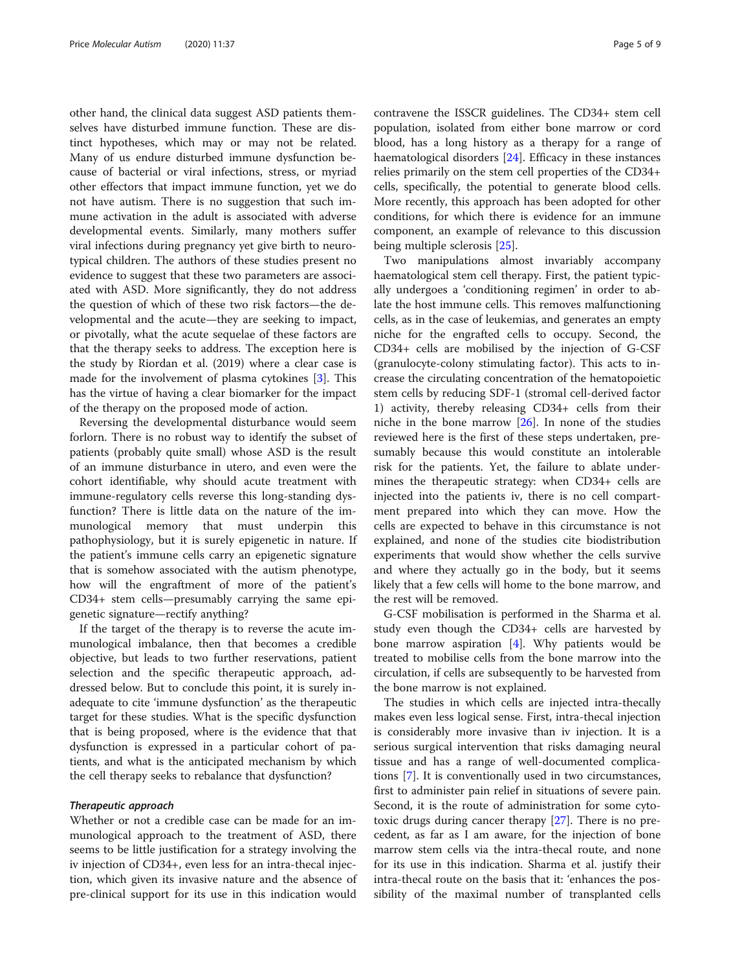other hand, the clinical data suggest ASD patients themselves have disturbed immune function. These are distinct hypotheses, which may or may not be related. Many of us endure disturbed immune dysfunction because of bacterial or viral infections, stress, or myriad other effectors that impact immune function, yet we do not have autism. There is no suggestion that such immune activation in the adult is associated with adverse developmental events. Similarly, many mothers suffer viral infections during pregnancy yet give birth to neurotypical children. The authors of these studies present no evidence to suggest that these two parameters are associated with ASD. More significantly, they do not address the question of which of these two risk factors—the developmental and the acute—they are seeking to impact, or pivotally, what the acute sequelae of these factors are that the therapy seeks to address. The exception here is the study by Riordan et al. (2019) where a clear case is made for the involvement of plasma cytokines [\[3](#page-7-0)]. This has the virtue of having a clear biomarker for the impact of the therapy on the proposed mode of action.

Reversing the developmental disturbance would seem forlorn. There is no robust way to identify the subset of patients (probably quite small) whose ASD is the result of an immune disturbance in utero, and even were the cohort identifiable, why should acute treatment with immune-regulatory cells reverse this long-standing dysfunction? There is little data on the nature of the immunological memory that must underpin this pathophysiology, but it is surely epigenetic in nature. If the patient's immune cells carry an epigenetic signature that is somehow associated with the autism phenotype, how will the engraftment of more of the patient's CD34+ stem cells—presumably carrying the same epigenetic signature—rectify anything?

If the target of the therapy is to reverse the acute immunological imbalance, then that becomes a credible objective, but leads to two further reservations, patient selection and the specific therapeutic approach, addressed below. But to conclude this point, it is surely inadequate to cite 'immune dysfunction' as the therapeutic target for these studies. What is the specific dysfunction that is being proposed, where is the evidence that that dysfunction is expressed in a particular cohort of patients, and what is the anticipated mechanism by which the cell therapy seeks to rebalance that dysfunction?

#### Therapeutic approach

Whether or not a credible case can be made for an immunological approach to the treatment of ASD, there seems to be little justification for a strategy involving the iv injection of CD34+, even less for an intra-thecal injection, which given its invasive nature and the absence of pre-clinical support for its use in this indication would contravene the ISSCR guidelines. The CD34+ stem cell population, isolated from either bone marrow or cord blood, has a long history as a therapy for a range of haematological disorders [[24\]](#page-7-0). Efficacy in these instances relies primarily on the stem cell properties of the CD34+ cells, specifically, the potential to generate blood cells. More recently, this approach has been adopted for other conditions, for which there is evidence for an immune component, an example of relevance to this discussion being multiple sclerosis [[25\]](#page-7-0).

Two manipulations almost invariably accompany haematological stem cell therapy. First, the patient typically undergoes a 'conditioning regimen' in order to ablate the host immune cells. This removes malfunctioning cells, as in the case of leukemias, and generates an empty niche for the engrafted cells to occupy. Second, the CD34+ cells are mobilised by the injection of G-CSF (granulocyte-colony stimulating factor). This acts to increase the circulating concentration of the hematopoietic stem cells by reducing SDF-1 (stromal cell-derived factor 1) activity, thereby releasing CD34+ cells from their niche in the bone marrow [\[26\]](#page-7-0). In none of the studies reviewed here is the first of these steps undertaken, presumably because this would constitute an intolerable risk for the patients. Yet, the failure to ablate undermines the therapeutic strategy: when CD34+ cells are injected into the patients iv, there is no cell compartment prepared into which they can move. How the cells are expected to behave in this circumstance is not explained, and none of the studies cite biodistribution experiments that would show whether the cells survive and where they actually go in the body, but it seems likely that a few cells will home to the bone marrow, and the rest will be removed.

G-CSF mobilisation is performed in the Sharma et al. study even though the CD34+ cells are harvested by bone marrow aspiration  $[4]$ . Why patients would be treated to mobilise cells from the bone marrow into the circulation, if cells are subsequently to be harvested from the bone marrow is not explained.

The studies in which cells are injected intra-thecally makes even less logical sense. First, intra-thecal injection is considerably more invasive than iv injection. It is a serious surgical intervention that risks damaging neural tissue and has a range of well-documented complications [\[7](#page-7-0)]. It is conventionally used in two circumstances, first to administer pain relief in situations of severe pain. Second, it is the route of administration for some cytotoxic drugs during cancer therapy [[27\]](#page-8-0). There is no precedent, as far as I am aware, for the injection of bone marrow stem cells via the intra-thecal route, and none for its use in this indication. Sharma et al. justify their intra-thecal route on the basis that it: 'enhances the possibility of the maximal number of transplanted cells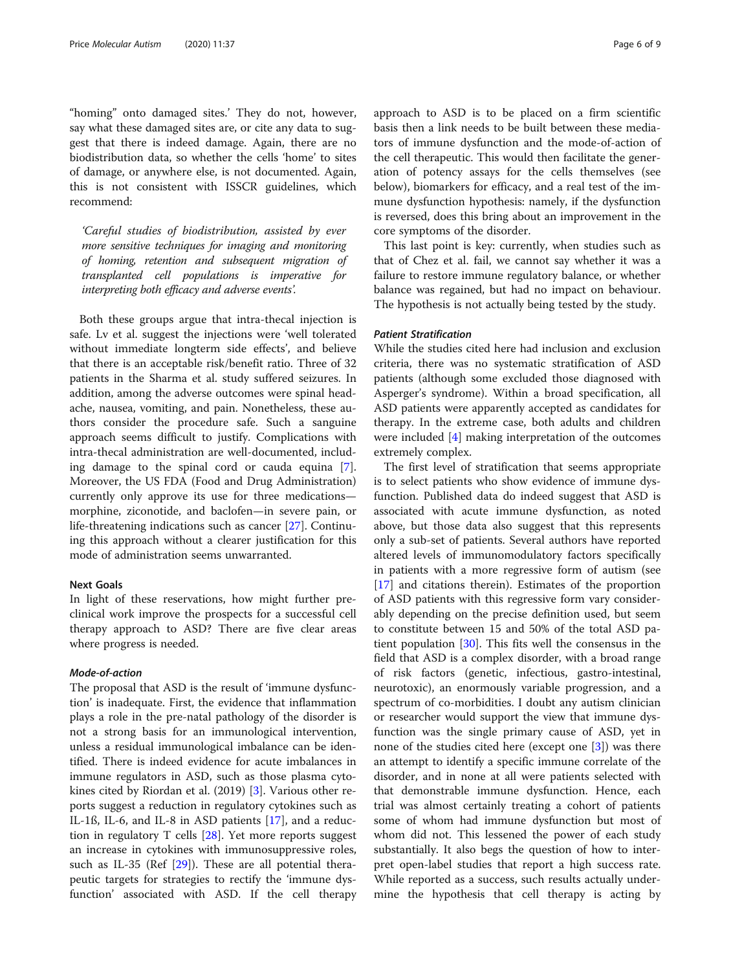"homing" onto damaged sites.' They do not, however, say what these damaged sites are, or cite any data to suggest that there is indeed damage. Again, there are no biodistribution data, so whether the cells 'home' to sites of damage, or anywhere else, is not documented. Again, this is not consistent with ISSCR guidelines, which recommend:

'Careful studies of biodistribution, assisted by ever more sensitive techniques for imaging and monitoring of homing, retention and subsequent migration of transplanted cell populations is imperative for interpreting both efficacy and adverse events'.

Both these groups argue that intra-thecal injection is safe. Lv et al. suggest the injections were 'well tolerated without immediate longterm side effects', and believe that there is an acceptable risk/benefit ratio. Three of 32 patients in the Sharma et al. study suffered seizures. In addition, among the adverse outcomes were spinal headache, nausea, vomiting, and pain. Nonetheless, these authors consider the procedure safe. Such a sanguine approach seems difficult to justify. Complications with intra-thecal administration are well-documented, including damage to the spinal cord or cauda equina [\[7](#page-7-0)]. Moreover, the US FDA (Food and Drug Administration) currently only approve its use for three medications morphine, ziconotide, and baclofen—in severe pain, or life-threatening indications such as cancer [\[27](#page-8-0)]. Continuing this approach without a clearer justification for this mode of administration seems unwarranted.

### Next Goals

In light of these reservations, how might further preclinical work improve the prospects for a successful cell therapy approach to ASD? There are five clear areas where progress is needed.

#### Mode-of-action

The proposal that ASD is the result of 'immune dysfunction' is inadequate. First, the evidence that inflammation plays a role in the pre-natal pathology of the disorder is not a strong basis for an immunological intervention, unless a residual immunological imbalance can be identified. There is indeed evidence for acute imbalances in immune regulators in ASD, such as those plasma cytokines cited by Riordan et al. (2019) [\[3](#page-7-0)]. Various other reports suggest a reduction in regulatory cytokines such as IL-1ß, IL-6, and IL-8 in ASD patients [\[17](#page-7-0)], and a reduction in regulatory T cells [\[28](#page-8-0)]. Yet more reports suggest an increase in cytokines with immunosuppressive roles, such as IL-35 (Ref [\[29](#page-8-0)]). These are all potential therapeutic targets for strategies to rectify the 'immune dysfunction' associated with ASD. If the cell therapy approach to ASD is to be placed on a firm scientific basis then a link needs to be built between these mediators of immune dysfunction and the mode-of-action of the cell therapeutic. This would then facilitate the generation of potency assays for the cells themselves (see below), biomarkers for efficacy, and a real test of the immune dysfunction hypothesis: namely, if the dysfunction is reversed, does this bring about an improvement in the core symptoms of the disorder.

This last point is key: currently, when studies such as that of Chez et al. fail, we cannot say whether it was a failure to restore immune regulatory balance, or whether balance was regained, but had no impact on behaviour. The hypothesis is not actually being tested by the study.

# Patient Stratification

While the studies cited here had inclusion and exclusion criteria, there was no systematic stratification of ASD patients (although some excluded those diagnosed with Asperger's syndrome). Within a broad specification, all ASD patients were apparently accepted as candidates for therapy. In the extreme case, both adults and children were included [\[4](#page-7-0)] making interpretation of the outcomes extremely complex.

The first level of stratification that seems appropriate is to select patients who show evidence of immune dysfunction. Published data do indeed suggest that ASD is associated with acute immune dysfunction, as noted above, but those data also suggest that this represents only a sub-set of patients. Several authors have reported altered levels of immunomodulatory factors specifically in patients with a more regressive form of autism (see [[17\]](#page-7-0) and citations therein). Estimates of the proportion of ASD patients with this regressive form vary considerably depending on the precise definition used, but seem to constitute between 15 and 50% of the total ASD patient population [[30](#page-8-0)]. This fits well the consensus in the field that ASD is a complex disorder, with a broad range of risk factors (genetic, infectious, gastro-intestinal, neurotoxic), an enormously variable progression, and a spectrum of co-morbidities. I doubt any autism clinician or researcher would support the view that immune dysfunction was the single primary cause of ASD, yet in none of the studies cited here (except one  $[3]$  $[3]$ ) was there an attempt to identify a specific immune correlate of the disorder, and in none at all were patients selected with that demonstrable immune dysfunction. Hence, each trial was almost certainly treating a cohort of patients some of whom had immune dysfunction but most of whom did not. This lessened the power of each study substantially. It also begs the question of how to interpret open-label studies that report a high success rate. While reported as a success, such results actually undermine the hypothesis that cell therapy is acting by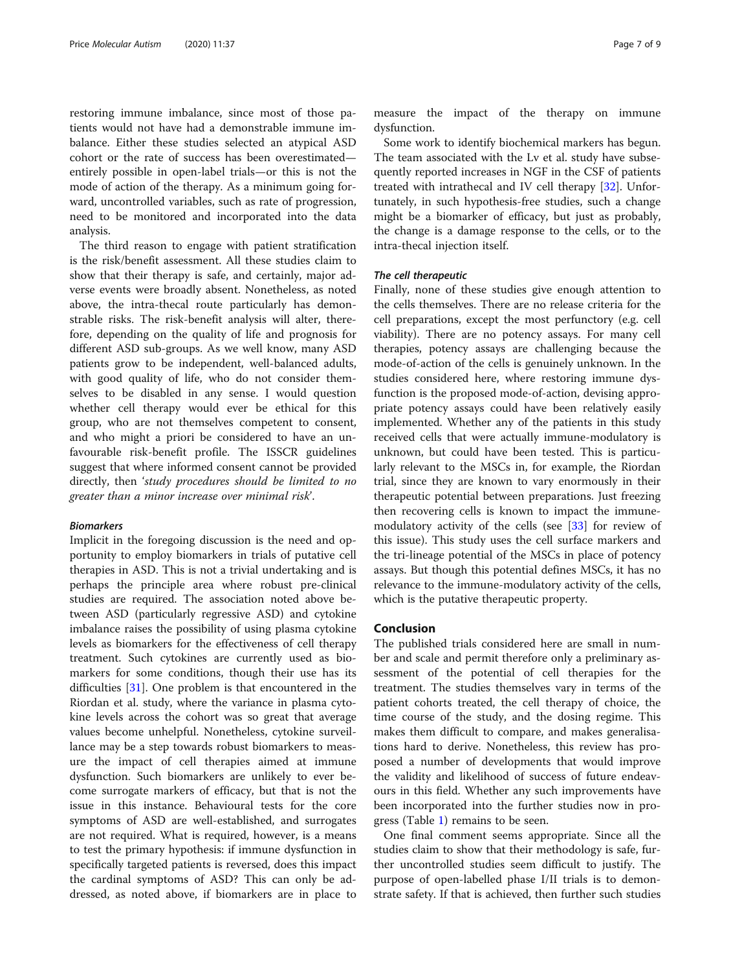restoring immune imbalance, since most of those patients would not have had a demonstrable immune imbalance. Either these studies selected an atypical ASD cohort or the rate of success has been overestimated entirely possible in open-label trials—or this is not the mode of action of the therapy. As a minimum going forward, uncontrolled variables, such as rate of progression, need to be monitored and incorporated into the data analysis.

The third reason to engage with patient stratification is the risk/benefit assessment. All these studies claim to show that their therapy is safe, and certainly, major adverse events were broadly absent. Nonetheless, as noted above, the intra-thecal route particularly has demonstrable risks. The risk-benefit analysis will alter, therefore, depending on the quality of life and prognosis for different ASD sub-groups. As we well know, many ASD patients grow to be independent, well-balanced adults, with good quality of life, who do not consider themselves to be disabled in any sense. I would question whether cell therapy would ever be ethical for this group, who are not themselves competent to consent, and who might a priori be considered to have an unfavourable risk-benefit profile. The ISSCR guidelines suggest that where informed consent cannot be provided directly, then 'study procedures should be limited to no greater than a minor increase over minimal risk'.

# Biomarkers

Implicit in the foregoing discussion is the need and opportunity to employ biomarkers in trials of putative cell therapies in ASD. This is not a trivial undertaking and is perhaps the principle area where robust pre-clinical studies are required. The association noted above between ASD (particularly regressive ASD) and cytokine imbalance raises the possibility of using plasma cytokine levels as biomarkers for the effectiveness of cell therapy treatment. Such cytokines are currently used as biomarkers for some conditions, though their use has its difficulties [[31](#page-8-0)]. One problem is that encountered in the Riordan et al. study, where the variance in plasma cytokine levels across the cohort was so great that average values become unhelpful. Nonetheless, cytokine surveillance may be a step towards robust biomarkers to measure the impact of cell therapies aimed at immune dysfunction. Such biomarkers are unlikely to ever become surrogate markers of efficacy, but that is not the issue in this instance. Behavioural tests for the core symptoms of ASD are well-established, and surrogates are not required. What is required, however, is a means to test the primary hypothesis: if immune dysfunction in specifically targeted patients is reversed, does this impact the cardinal symptoms of ASD? This can only be addressed, as noted above, if biomarkers are in place to measure the impact of the therapy on immune dysfunction.

Some work to identify biochemical markers has begun. The team associated with the Lv et al. study have subsequently reported increases in NGF in the CSF of patients treated with intrathecal and IV cell therapy [\[32\]](#page-8-0). Unfortunately, in such hypothesis-free studies, such a change might be a biomarker of efficacy, but just as probably, the change is a damage response to the cells, or to the intra-thecal injection itself.

#### The cell therapeutic

Finally, none of these studies give enough attention to the cells themselves. There are no release criteria for the cell preparations, except the most perfunctory (e.g. cell viability). There are no potency assays. For many cell therapies, potency assays are challenging because the mode-of-action of the cells is genuinely unknown. In the studies considered here, where restoring immune dysfunction is the proposed mode-of-action, devising appropriate potency assays could have been relatively easily implemented. Whether any of the patients in this study received cells that were actually immune-modulatory is unknown, but could have been tested. This is particularly relevant to the MSCs in, for example, the Riordan trial, since they are known to vary enormously in their therapeutic potential between preparations. Just freezing then recovering cells is known to impact the immunemodulatory activity of the cells (see [[33\]](#page-8-0) for review of this issue). This study uses the cell surface markers and the tri-lineage potential of the MSCs in place of potency assays. But though this potential defines MSCs, it has no relevance to the immune-modulatory activity of the cells, which is the putative therapeutic property.

## Conclusion

The published trials considered here are small in number and scale and permit therefore only a preliminary assessment of the potential of cell therapies for the treatment. The studies themselves vary in terms of the patient cohorts treated, the cell therapy of choice, the time course of the study, and the dosing regime. This makes them difficult to compare, and makes generalisations hard to derive. Nonetheless, this review has proposed a number of developments that would improve the validity and likelihood of success of future endeavours in this field. Whether any such improvements have been incorporated into the further studies now in progress (Table [1](#page-1-0)) remains to be seen.

One final comment seems appropriate. Since all the studies claim to show that their methodology is safe, further uncontrolled studies seem difficult to justify. The purpose of open-labelled phase I/II trials is to demonstrate safety. If that is achieved, then further such studies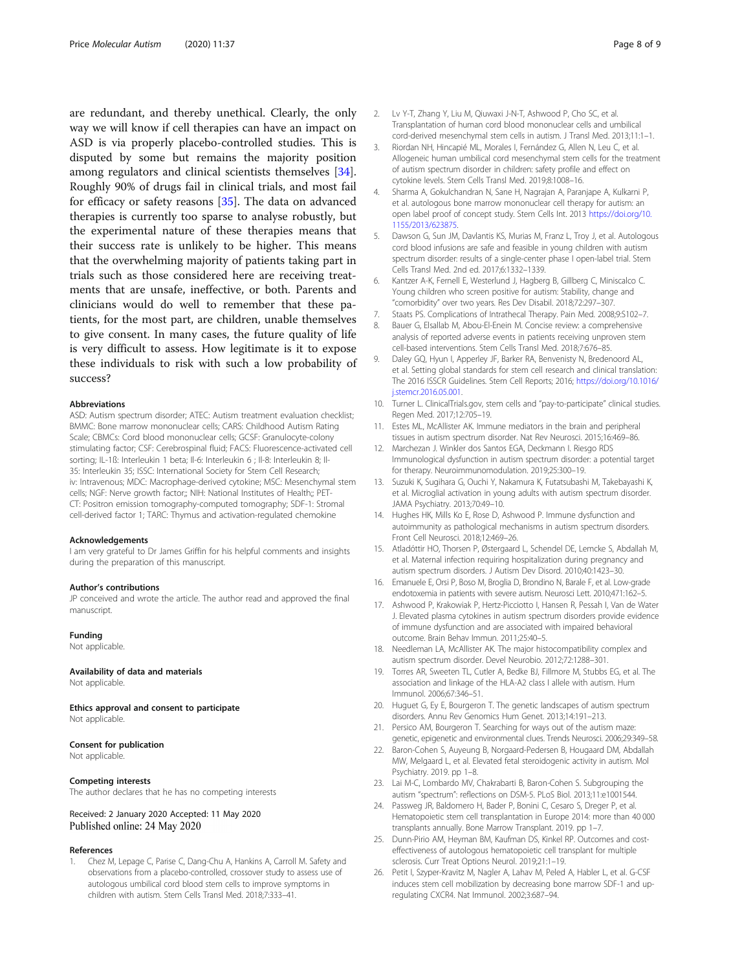<span id="page-7-0"></span>are redundant, and thereby unethical. Clearly, the only way we will know if cell therapies can have an impact on ASD is via properly placebo-controlled studies. This is disputed by some but remains the majority position among regulators and clinical scientists themselves [\[34](#page-8-0)]. Roughly 90% of drugs fail in clinical trials, and most fail for efficacy or safety reasons [\[35](#page-8-0)]. The data on advanced therapies is currently too sparse to analyse robustly, but the experimental nature of these therapies means that their success rate is unlikely to be higher. This means that the overwhelming majority of patients taking part in trials such as those considered here are receiving treatments that are unsafe, ineffective, or both. Parents and clinicians would do well to remember that these patients, for the most part, are children, unable themselves to give consent. In many cases, the future quality of life is very difficult to assess. How legitimate is it to expose these individuals to risk with such a low probability of success?

#### Abbreviations

ASD: Autism spectrum disorder; ATEC: Autism treatment evaluation checklist; BMMC: Bone marrow mononuclear cells; CARS: Childhood Autism Rating Scale; CBMCs: Cord blood mononuclear cells; GCSF: Granulocyte-colony stimulating factor; CSF: Cerebrospinal fluid; FACS: Fluorescence-activated cell sorting; IL-1ß: Interleukin 1 beta; Il-6: Interleukin 6 ; Il-8: Interleukin 8; Il-35: Interleukin 35; ISSC: International Society for Stem Cell Research; iv: Intravenous; MDC: Macrophage-derived cytokine; MSC: Mesenchymal stem cells; NGF: Nerve growth factor;; NIH: National Institutes of Health;; PET-CT: Positron emission tomography-computed tomography; SDF-1: Stromal cell-derived factor 1; TARC: Thymus and activation-regulated chemokine

#### Acknowledgements

I am very grateful to Dr James Griffin for his helpful comments and insights during the preparation of this manuscript.

#### Author's contributions

JP conceived and wrote the article. The author read and approved the final manuscript.

#### Funding

Not applicable.

#### Availability of data and materials

Not applicable.

Ethics approval and consent to participate Not applicable.

#### Consent for publication

Not applicable.

#### Competing interests

The author declares that he has no competing interests

#### Received: 2 January 2020 Accepted: 11 May 2020 Published online: 24 May 2020

#### References

1. Chez M, Lepage C, Parise C, Dang-Chu A, Hankins A, Carroll M. Safety and observations from a placebo-controlled, crossover study to assess use of autologous umbilical cord blood stem cells to improve symptoms in children with autism. Stem Cells Transl Med. 2018;7:333–41.

- 2. Lv Y-T, Zhang Y, Liu M, Qiuwaxi J-N-T, Ashwood P, Cho SC, et al. Transplantation of human cord blood mononuclear cells and umbilical cord-derived mesenchymal stem cells in autism. J Transl Med. 2013;11:1–1.
- 3. Riordan NH, Hincapié ML, Morales I, Fernández G, Allen N, Leu C, et al. Allogeneic human umbilical cord mesenchymal stem cells for the treatment of autism spectrum disorder in children: safety profile and effect on cytokine levels. Stem Cells Transl Med. 2019;8:1008–16.
- 4. Sharma A, Gokulchandran N, Sane H, Nagrajan A, Paranjape A, Kulkarni P, et al. autologous bone marrow mononuclear cell therapy for autism: an open label proof of concept study. Stem Cells Int. 2013 [https://doi.org/10.](https://doi.org/10.1155/2013/623875) [1155/2013/623875](https://doi.org/10.1155/2013/623875).
- Dawson G, Sun JM, Davlantis KS, Murias M, Franz L, Troy J, et al. Autologous cord blood infusions are safe and feasible in young children with autism spectrum disorder: results of a single-center phase I open-label trial. Stem Cells Transl Med. 2nd ed. 2017;6:1332–1339.
- Kantzer A-K, Fernell E, Westerlund J, Hagberg B, Gillberg C, Miniscalco C. Young children who screen positive for autism: Stability, change and "comorbidity" over two years. Res Dev Disabil. 2018;72:297–307.
- 7. Staats PS. Complications of Intrathecal Therapy. Pain Med. 2008;9:S102–7.
- 8. Bauer G, Elsallab M, Abou-El-Enein M. Concise review: a comprehensive analysis of reported adverse events in patients receiving unproven stem cell-based interventions. Stem Cells Transl Med. 2018;7:676–85.
- 9. Daley GQ, Hyun I, Apperley JF, Barker RA, Benvenisty N, Bredenoord AL, et al. Setting global standards for stem cell research and clinical translation: The 2016 ISSCR Guidelines. Stem Cell Reports; 2016; [https://doi.org/10.1016/](https://doi.org/10.1016/j.stemcr.2016.05.001) [j.stemcr.2016.05.001.](https://doi.org/10.1016/j.stemcr.2016.05.001)
- 10. Turner L. ClinicalTrials.gov, stem cells and "pay-to-participate" clinical studies. Regen Med. 2017;12:705–19.
- 11. Estes ML, McAllister AK. Immune mediators in the brain and peripheral tissues in autism spectrum disorder. Nat Rev Neurosci. 2015;16:469–86.
- 12. Marchezan J. Winkler dos Santos EGA, Deckmann I. Riesgo RDS Immunological dysfunction in autism spectrum disorder: a potential target for therapy. Neuroimmunomodulation. 2019;25:300–19.
- 13. Suzuki K, Sugihara G, Ouchi Y, Nakamura K, Futatsubashi M, Takebayashi K, et al. Microglial activation in young adults with autism spectrum disorder. JAMA Psychiatry. 2013;70:49–10.
- 14. Hughes HK, Mills Ko E, Rose D, Ashwood P. Immune dysfunction and autoimmunity as pathological mechanisms in autism spectrum disorders. Front Cell Neurosci. 2018;12:469–26.
- 15. Atladóttir HO, Thorsen P, Østergaard L, Schendel DE, Lemcke S, Abdallah M, et al. Maternal infection requiring hospitalization during pregnancy and autism spectrum disorders. J Autism Dev Disord. 2010;40:1423–30.
- 16. Emanuele E, Orsi P, Boso M, Broglia D, Brondino N, Barale F, et al. Low-grade endotoxemia in patients with severe autism. Neurosci Lett. 2010;471:162–5.
- 17. Ashwood P, Krakowiak P, Hertz-Picciotto I, Hansen R, Pessah I, Van de Water J. Elevated plasma cytokines in autism spectrum disorders provide evidence of immune dysfunction and are associated with impaired behavioral outcome. Brain Behav Immun. 2011;25:40–5.
- 18. Needleman LA, McAllister AK. The major histocompatibility complex and autism spectrum disorder. Devel Neurobio. 2012;72:1288–301.
- 19. Torres AR, Sweeten TL, Cutler A, Bedke BJ, Fillmore M, Stubbs EG, et al. The association and linkage of the HLA-A2 class I allele with autism. Hum Immunol. 2006;67:346–51.
- 20. Huguet G, Ey E, Bourgeron T. The genetic landscapes of autism spectrum disorders. Annu Rev Genomics Hum Genet. 2013;14:191–213.
- 21. Persico AM, Bourgeron T. Searching for ways out of the autism maze: genetic, epigenetic and environmental clues. Trends Neurosci. 2006;29:349–58.
- 22. Baron-Cohen S, Auyeung B, Norgaard-Pedersen B, Hougaard DM, Abdallah MW, Melgaard L, et al. Elevated fetal steroidogenic activity in autism. Mol Psychiatry. 2019. pp 1–8.
- 23. Lai M-C, Lombardo MV, Chakrabarti B, Baron-Cohen S. Subgrouping the autism "spectrum": reflections on DSM-5. PLoS Biol. 2013;11:e1001544.
- 24. Passweg JR, Baldomero H, Bader P, Bonini C, Cesaro S, Dreger P, et al. Hematopoietic stem cell transplantation in Europe 2014: more than 40 000 transplants annually. Bone Marrow Transplant. 2019. pp 1–7.
- 25. Dunn-Pirio AM, Heyman BM, Kaufman DS, Kinkel RP. Outcomes and costeffectiveness of autologous hematopoietic cell transplant for multiple sclerosis. Curr Treat Options Neurol. 2019;21:1–19.
- 26. Petit I, Szyper-Kravitz M, Nagler A, Lahav M, Peled A, Habler L, et al. G-CSF induces stem cell mobilization by decreasing bone marrow SDF-1 and upregulating CXCR4. Nat Immunol. 2002;3:687–94.